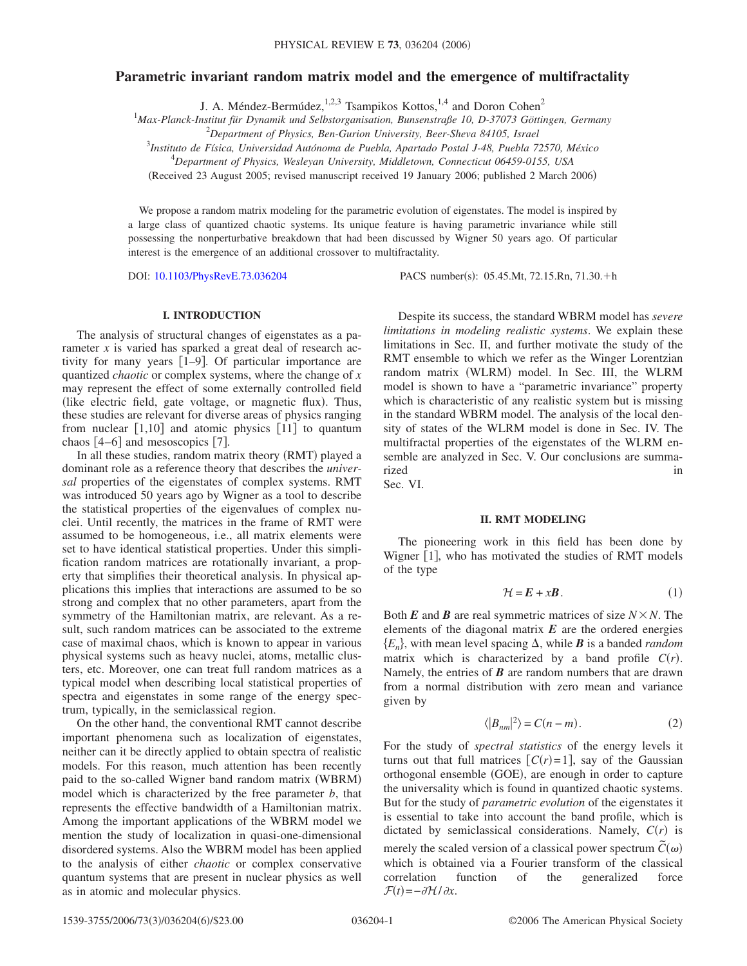# **Parametric invariant random matrix model and the emergence of multifractality**

J. A. Méndez-Bermúdez,<sup>1,2,3</sup> Tsampikos Kottos,<sup>1,4</sup> and Doron Cohen<sup>2</sup><br><sup>1</sup>Max-Planck-Institut für Dynamik und Selbstorganisation, Bunsenstraße 10, D-37073 Göttingen, Germany

2 *Department of Physics, Ben-Gurion University, Beer-Sheva 84105, Israel*

3 *Instituto de Física, Universidad Autónoma de Puebla, Apartado Postal J-48, Puebla 72570, México*

4 *Department of Physics, Wesleyan University, Middletown, Connecticut 06459-0155, USA*

(Received 23 August 2005; revised manuscript received 19 January 2006; published 2 March 2006)

We propose a random matrix modeling for the parametric evolution of eigenstates. The model is inspired by a large class of quantized chaotic systems. Its unique feature is having parametric invariance while still possessing the nonperturbative breakdown that had been discussed by Wigner 50 years ago. Of particular interest is the emergence of an additional crossover to multifractality.

DOI: [10.1103/PhysRevE.73.036204](http://dx.doi.org/10.1103/PhysRevE.73.036204)

PACS number(s): 05.45.Mt, 72.15.Rn, 71.30.+h

## **I. INTRODUCTION**

The analysis of structural changes of eigenstates as a parameter *x* is varied has sparked a great deal of research activity for many years  $[1-9]$ . Of particular importance are quantized *chaotic* or complex systems, where the change of *x* may represent the effect of some externally controlled field (like electric field, gate voltage, or magnetic flux). Thus, these studies are relevant for diverse areas of physics ranging from nuclear  $[1,10]$  and atomic physics  $[11]$  to quantum chaos  $[4-6]$  and mesoscopics  $[7]$ .

In all these studies, random matrix theory (RMT) played a dominant role as a reference theory that describes the *universal* properties of the eigenstates of complex systems. RMT was introduced 50 years ago by Wigner as a tool to describe the statistical properties of the eigenvalues of complex nuclei. Until recently, the matrices in the frame of RMT were assumed to be homogeneous, i.e., all matrix elements were set to have identical statistical properties. Under this simplification random matrices are rotationally invariant, a property that simplifies their theoretical analysis. In physical applications this implies that interactions are assumed to be so strong and complex that no other parameters, apart from the symmetry of the Hamiltonian matrix, are relevant. As a result, such random matrices can be associated to the extreme case of maximal chaos, which is known to appear in various physical systems such as heavy nuclei, atoms, metallic clusters, etc. Moreover, one can treat full random matrices as a typical model when describing local statistical properties of spectra and eigenstates in some range of the energy spectrum, typically, in the semiclassical region.

On the other hand, the conventional RMT cannot describe important phenomena such as localization of eigenstates, neither can it be directly applied to obtain spectra of realistic models. For this reason, much attention has been recently paid to the so-called Wigner band random matrix (WBRM) model which is characterized by the free parameter *b*, that represents the effective bandwidth of a Hamiltonian matrix. Among the important applications of the WBRM model we mention the study of localization in quasi-one-dimensional disordered systems. Also the WBRM model has been applied to the analysis of either *chaotic* or complex conservative quantum systems that are present in nuclear physics as well as in atomic and molecular physics.

Despite its success, the standard WBRM model has *severe limitations in modeling realistic systems*. We explain these limitations in Sec. II, and further motivate the study of the RMT ensemble to which we refer as the Winger Lorentzian random matrix (WLRM) model. In Sec. III, the WLRM model is shown to have a "parametric invariance" property which is characteristic of any realistic system but is missing in the standard WBRM model. The analysis of the local density of states of the WLRM model is done in Sec. IV. The multifractal properties of the eigenstates of the WLRM ensemble are analyzed in Sec. V. Our conclusions are summarized in the contract of the contract of the contract of the contract of the contract of the contract of the contract of the contract of the contract of the contract of the contract of the contract of the contract of the c

Sec. VI.

### **II. RMT MODELING**

The pioneering work in this field has been done by Wigner  $[1]$ , who has motivated the studies of RMT models of the type

$$
\mathcal{H} = \mathbf{E} + x\mathbf{B}.
$$
 (1)

Both  $E$  and  $B$  are real symmetric matrices of size  $N \times N$ . The elements of the diagonal matrix  $E$  are the ordered energies  ${E_n}$ , with mean level spacing  $\Delta$ , while *B* is a banded *random* matrix which is characterized by a band profile  $C(r)$ . Namely, the entries of *B* are random numbers that are drawn from a normal distribution with zero mean and variance given by

$$
\langle |B_{nm}|^2 \rangle = C(n-m). \tag{2}
$$

For the study of *spectral statistics* of the energy levels it turns out that full matrices  $[C(r)=1]$ , say of the Gaussian orthogonal ensemble (GOE), are enough in order to capture the universality which is found in quantized chaotic systems. But for the study of *parametric evolution* of the eigenstates it is essential to take into account the band profile, which is dictated by semiclassical considerations. Namely,  $C(r)$  is merely the scaled version of a classical power spectrum  $\tilde{C}(\omega)$ which is obtained via a Fourier transform of the classical correlation tunction of the generalized force correlation function of the generalized  $\mathcal{F}(t) = -\partial \mathcal{H}/\partial x.$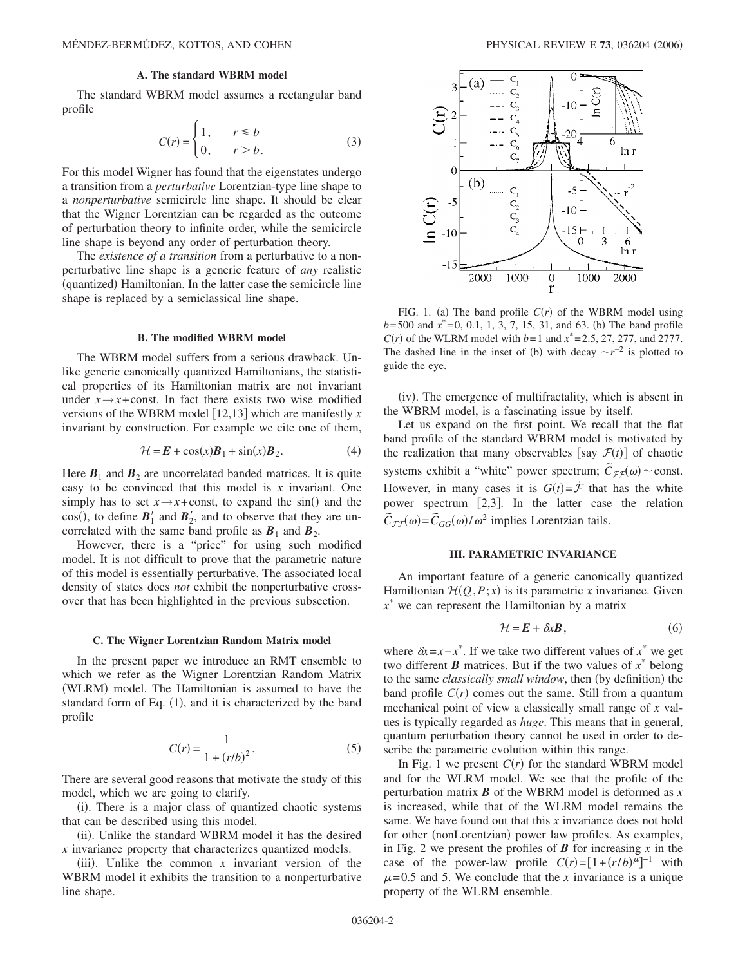## **A. The standard WBRM model**

The standard WBRM model assumes a rectangular band profile

$$
C(r) = \begin{cases} 1, & r \le b \\ 0, & r > b. \end{cases}
$$
 (3)

For this model Wigner has found that the eigenstates undergo a transition from a *perturbative* Lorentzian-type line shape to a *nonperturbative* semicircle line shape. It should be clear that the Wigner Lorentzian can be regarded as the outcome of perturbation theory to infinite order, while the semicircle line shape is beyond any order of perturbation theory.

The *existence of a transition* from a perturbative to a nonperturbative line shape is a generic feature of *any* realistic (quantized) Hamiltonian. In the latter case the semicircle line shape is replaced by a semiclassical line shape.

### **B. The modified WBRM model**

The WBRM model suffers from a serious drawback. Unlike generic canonically quantized Hamiltonians, the statistical properties of its Hamiltonian matrix are not invariant under  $x \rightarrow x + const.$  In fact there exists two wise modified versions of the WBRM model  $[12,13]$  which are manifestly *x* invariant by construction. For example we cite one of them,

$$
\mathcal{H} = \mathbf{E} + \cos(x)\mathbf{B}_1 + \sin(x)\mathbf{B}_2.
$$
 (4)

Here  $B_1$  and  $B_2$  are uncorrelated banded matrices. It is quite easy to be convinced that this model is *x* invariant. One simply has to set  $x \rightarrow x + const$ , to expand the sin() and the  $cos()$ , to define  $B'_1$  and  $B'_2$ , and to observe that they are uncorrelated with the same band profile as  $B_1$  and  $B_2$ .

However, there is a "price" for using such modified model. It is not difficult to prove that the parametric nature of this model is essentially perturbative. The associated local density of states does *not* exhibit the nonperturbative crossover that has been highlighted in the previous subsection.

### **C. The Wigner Lorentzian Random Matrix model**

In the present paper we introduce an RMT ensemble to which we refer as the Wigner Lorentzian Random Matrix (WLRM) model. The Hamiltonian is assumed to have the standard form of Eq.  $(1)$ , and it is characterized by the band profile

$$
C(r) = \frac{1}{1 + (r/b)^2}.
$$
 (5)

There are several good reasons that motivate the study of this model, which we are going to clarify.

(i). There is a major class of quantized chaotic systems that can be described using this model.

(ii). Unlike the standard WBRM model it has the desired *x* invariance property that characterizes quantized models.

(iii). Unlike the common  $x$  invariant version of the WBRM model it exhibits the transition to a nonperturbative line shape.



FIG. 1. (a) The band profile  $C(r)$  of the WBRM model using  $b = 500$  and  $x^* = 0, 0.1, 1, 3, 7, 15, 31,$  and 63. (b) The band profile  $C(r)$  of the WLRM model with *b*=1 and  $x^*$ =2.5, 27, 277, and 2777. The dashed line in the inset of (b) with decay  $\sim r^{-2}$  is plotted to guide the eye.

(iv). The emergence of multifractality, which is absent in the WBRM model, is a fascinating issue by itself.

Let us expand on the first point. We recall that the flat band profile of the standard WBRM model is motivated by the realization that many observables [say  $\mathcal{F}(t)$ ] of chaotic systems exhibit a "white" power spectrum;  $\tilde{C}_{\mathcal{F}\mathcal{F}}(\omega) \sim \text{const.}$ However, in many cases it is  $G(t) = \dot{\mathcal{F}}$  that has the white power spectrum  $[2,3]$ . In the latter case the relation  $\tilde{C}_{\mathcal{F}\mathcal{F}}(\omega) = \tilde{C}_{GG}(\omega)/\omega^2$  implies Lorentzian tails.

## **III. PARAMETRIC INVARIANCE**

An important feature of a generic canonically quantized Hamiltonian  $\mathcal{H}(Q, P; x)$  is its parametric *x* invariance. Given  $x^*$  we can represent the Hamiltonian by a matrix

$$
\mathcal{H} = \mathbf{E} + \delta x \mathbf{B},\tag{6}
$$

where  $\delta x = x - x^*$ . If we take two different values of  $x^*$  we get two different  $\bm{B}$  matrices. But if the two values of  $\bm{x}^*$  belong to the same *classically small window*, then (by definition) the band profile  $C(r)$  comes out the same. Still from a quantum mechanical point of view a classically small range of *x* values is typically regarded as *huge*. This means that in general, quantum perturbation theory cannot be used in order to describe the parametric evolution within this range.

In Fig. 1 we present  $C(r)$  for the standard WBRM model and for the WLRM model. We see that the profile of the perturbation matrix *B* of the WBRM model is deformed as *x* is increased, while that of the WLRM model remains the same. We have found out that this *x* invariance does not hold for other (nonLorentzian) power law profiles. As examples, in Fig. 2 we present the profiles of  $\bf{B}$  for increasing  $\bf{x}$  in the case of the power-law profile  $C(r) = [1 + (r/b)^{\mu}]^{-1}$  with  $\mu$ =0.5 and 5. We conclude that the *x* invariance is a unique property of the WLRM ensemble.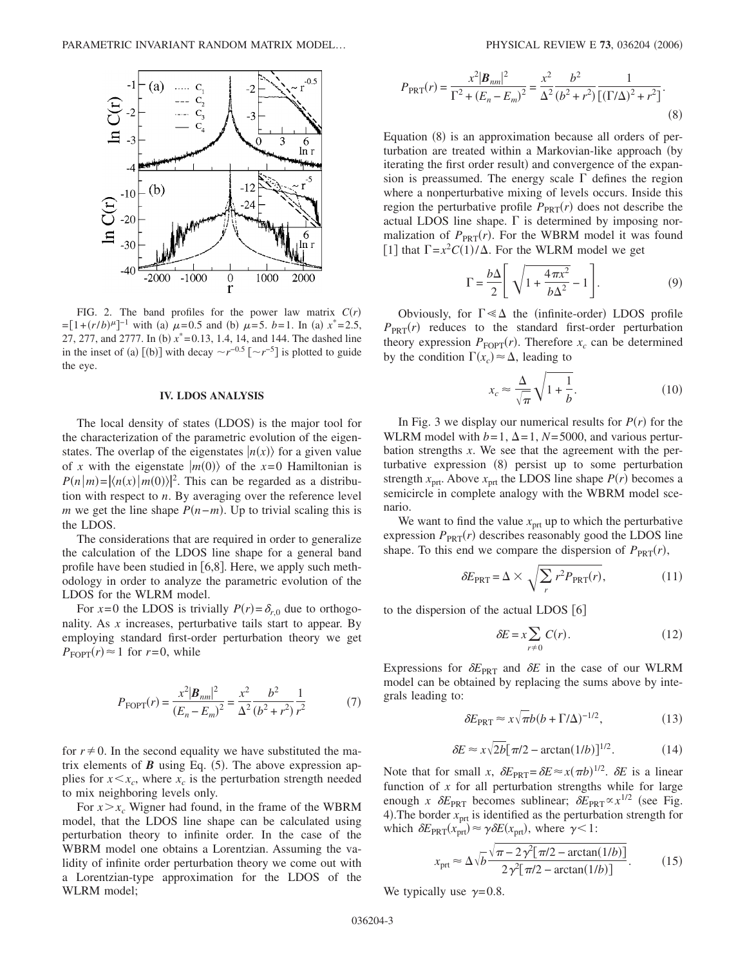

FIG. 2. The band profiles for the power law matrix  $C(r)$  $=[1+(r/b)^{\mu}]^{-1}$  with (a)  $\mu=0.5$  and (b)  $\mu=5$ . *b*=1. In (a)  $x^*=2.5$ , 27, 277, and 2777. In (b)  $x^*$  = 0.13, 1.4, 14, and 144. The dashed line in the inset of (a)  $[(b)]$  with decay  $\sim r^{-0.5}$   $[\sim r^{-5}]$  is plotted to guide the eye.

## **IV. LDOS ANALYSIS**

The local density of states (LDOS) is the major tool for the characterization of the parametric evolution of the eigenstates. The overlap of the eigenstates  $|n(x)\rangle$  for a given value of *x* with the eigenstate  $|m(0)\rangle$  of the *x*=0 Hamiltonian is  $P(n|m) = |\langle n(x) | m(0) \rangle|^2$ . This can be regarded as a distribution with respect to *n*. By averaging over the reference level *m* we get the line shape  $P(n-m)$ . Up to trivial scaling this is the LDOS.

The considerations that are required in order to generalize the calculation of the LDOS line shape for a general band profile have been studied in  $[6,8]$ . Here, we apply such methodology in order to analyze the parametric evolution of the LDOS for the WLRM model.

For  $x=0$  the LDOS is trivially  $P(r) = \delta_{r,0}$  due to orthogonality. As *x* increases, perturbative tails start to appear. By employing standard first-order perturbation theory we get  $P_{\text{FOPT}}(r) \approx 1$  for  $r=0$ , while

$$
P_{\text{FOPT}}(r) = \frac{x^2 |\mathbf{B}_{nm}|^2}{(E_n - E_m)^2} = \frac{x^2}{\Delta^2} \frac{b^2}{(b^2 + r^2)} \frac{1}{r^2}
$$
(7)

for  $r \neq 0$ . In the second equality we have substituted the matrix elements of  $\bm{B}$  using Eq. (5). The above expression applies for  $x \le x_c$ , where  $x_c$  is the perturbation strength needed to mix neighboring levels only.

For  $x > x_c$  Wigner had found, in the frame of the WBRM model, that the LDOS line shape can be calculated using perturbation theory to infinite order. In the case of the WBRM model one obtains a Lorentzian. Assuming the validity of infinite order perturbation theory we come out with a Lorentzian-type approximation for the LDOS of the WLRM model;

$$
P_{\text{PRT}}(r) = \frac{x^2 |\mathbf{B}_{nm}|^2}{\Gamma^2 + (E_n - E_m)^2} = \frac{x^2}{\Delta^2} \frac{b^2}{(b^2 + r^2)} \frac{1}{[(\Gamma/\Delta)^2 + r^2]}.
$$
\n(8)

Equation (8) is an approximation because all orders of perturbation are treated within a Markovian-like approach (by iterating the first order result) and convergence of the expansion is preassumed. The energy scale  $\Gamma$  defines the region where a nonperturbative mixing of levels occurs. Inside this region the perturbative profile  $P_{\text{PRT}}(r)$  does not describe the actual LDOS line shape.  $\Gamma$  is determined by imposing normalization of  $P_{\text{PRT}}(r)$ . For the WBRM model it was found [1] that  $\Gamma = x^2 C(1)/\Delta$ . For the WLRM model we get

$$
\Gamma = \frac{b\Delta}{2} \left[ \sqrt{1 + \frac{4\pi x^2}{b\Delta^2}} - 1 \right].
$$
 (9)

Obviously, for  $\Gamma \ll \Delta$  the (infinite-order) LDOS profile  $P_{\text{PRT}}(r)$  reduces to the standard first-order perturbation theory expression  $P_{\text{FOPT}}(r)$ . Therefore  $x_c$  can be determined by the condition  $\Gamma(x_c) \approx \Delta$ , leading to

$$
x_c \approx \frac{\Delta}{\sqrt{\pi}} \sqrt{1 + \frac{1}{b}}.\tag{10}
$$

In Fig. 3 we display our numerical results for  $P(r)$  for the WLRM model with  $b=1$ ,  $\Delta=1$ ,  $N=5000$ , and various perturbation strengths *x*. We see that the agreement with the perturbative expression (8) persist up to some perturbation strength  $x_{\text{prt}}$ . Above  $x_{\text{prt}}$  the LDOS line shape  $P(r)$  becomes a semicircle in complete analogy with the WBRM model scenario.

We want to find the value  $x<sub>prt</sub>$  up to which the perturbative expression  $P_{\text{PRT}}(r)$  describes reasonably good the LDOS line shape. To this end we compare the dispersion of  $P_{\text{PRT}}(r)$ ,

$$
\delta E_{\text{PRT}} = \Delta \times \sqrt{\sum_{r} r^2 P_{\text{PRT}}(r)},\tag{11}
$$

to the dispersion of the actual LDOS  $[6]$ 

$$
\delta E = x \sum_{r \neq 0} C(r). \tag{12}
$$

Expressions for  $\delta E_{\text{PRT}}$  and  $\delta E$  in the case of our WLRM model can be obtained by replacing the sums above by integrals leading to:

$$
\delta E_{\rm PRT} \approx x \sqrt{\pi} b (b + \Gamma/\Delta)^{-1/2},\tag{13}
$$

$$
\delta E \approx x\sqrt{2b} \left[\pi/2 - \arctan(1/b)\right]^{1/2}.\tag{14}
$$

Note that for small *x*,  $\delta E_{\text{PRT}} = \delta E \approx x(\pi b)^{1/2}$ .  $\delta E$  is a linear function of  $x$  for all perturbation strengths while for large enough *x*  $\delta E_{\text{PRT}}$  becomes sublinear;  $\delta \bar{E}_{\text{PRT}} \propto x^{1/2}$  (see Fig. 4). The border  $x<sub>prt</sub>$  is identified as the perturbation strength for which  $\delta E_{\text{PRT}}(x_{\text{prt}}) \approx \gamma \delta E(x_{\text{prt}})$ , where  $\gamma < 1$ :

$$
x_{\text{prt}} \approx \Delta \sqrt{b} \frac{\sqrt{\pi - 2\gamma^2 [\pi/2 - \arctan(1/b)]}}{2\gamma^2 [\pi/2 - \arctan(1/b)]}.
$$
 (15)

We typically use  $\gamma=0.8$ .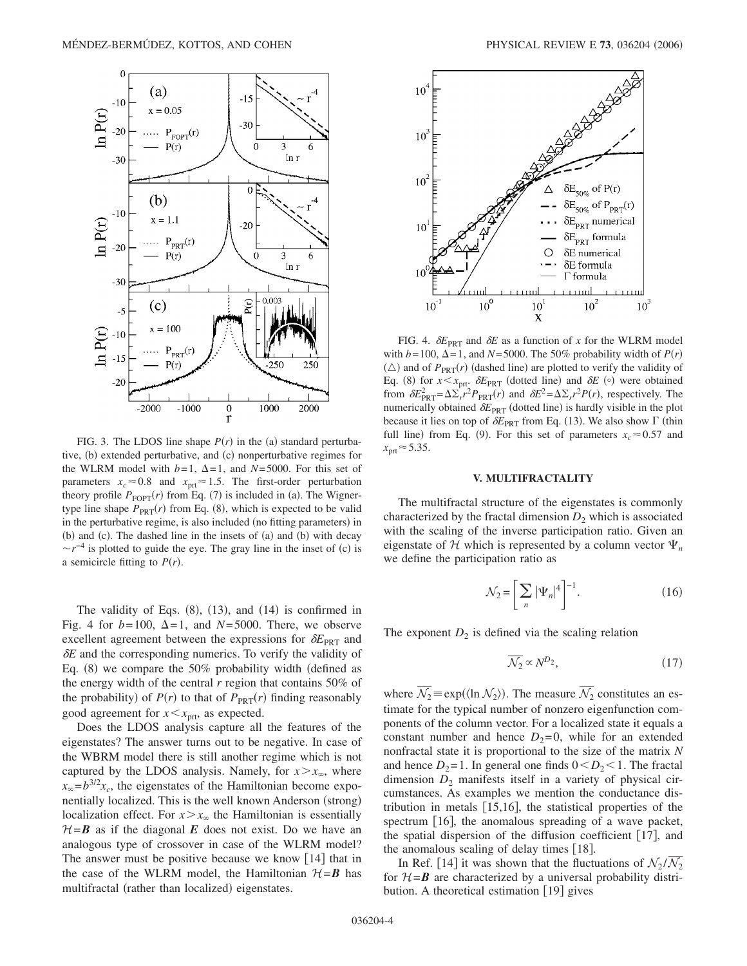

FIG. 3. The LDOS line shape  $P(r)$  in the (a) standard perturbative, (b) extended perturbative, and (c) nonperturbative regimes for the WLRM model with  $b=1$ ,  $\Delta=1$ , and *N*=5000. For this set of parameters  $x_c \approx 0.8$  and  $x_{\text{prt}} \approx 1.5$ . The first-order perturbation theory profile  $P_{\text{FOPT}}(r)$  from Eq. (7) is included in (a). The Wignertype line shape  $P_{\text{PRT}}(r)$  from Eq. (8), which is expected to be valid in the perturbative regime, is also included (no fitting parameters) in (b) and (c). The dashed line in the insets of (a) and (b) with decay  $\sim r^{-4}$  is plotted to guide the eye. The gray line in the inset of (c) is a semicircle fitting to  $P(r)$ .

The validity of Eqs.  $(8)$ ,  $(13)$ , and  $(14)$  is confirmed in Fig. 4 for  $b=100$ ,  $\Delta=1$ , and  $N=5000$ . There, we observe excellent agreement between the expressions for  $\delta E_{\text{PRT}}$  and  $\delta E$  and the corresponding numerics. To verify the validity of Eq. (8) we compare the 50% probability width (defined as the energy width of the central *r* region that contains 50% of the probability) of  $P(r)$  to that of  $P_{PRT}(r)$  finding reasonably good agreement for  $x \leq x_{\text{prt}}$ , as expected.

Does the LDOS analysis capture all the features of the eigenstates? The answer turns out to be negative. In case of the WBRM model there is still another regime which is not captured by the LDOS analysis. Namely, for  $x > x_{\infty}$ , where  $x_{\infty} = b^{3/2}x_c$ , the eigenstates of the Hamiltonian become exponentially localized. This is the well known Anderson (strong) localization effect. For  $x > x_\infty$  the Hamiltonian is essentially  $H = B$  as if the diagonal *E* does not exist. Do we have an analogous type of crossover in case of the WLRM model? The answer must be positive because we know  $\lceil 14 \rceil$  that in the case of the WLRM model, the Hamiltonian  $H = B$  has multifractal (rather than localized) eigenstates.



FIG. 4.  $\delta E_{\text{PRT}}$  and  $\delta E$  as a function of *x* for the WLRM model with  $b=100$ ,  $\Delta=1$ , and  $N=5000$ . The 50% probability width of  $P(r)$  $(\triangle)$  and of  $P_{\text{PRT}}(r)$  (dashed line) are plotted to verify the validity of Eq. (8) for  $x < x_{\text{prt}}$ .  $\delta E_{\text{PRT}}$  (dotted line) and  $\delta E$  ( $\circ$ ) were obtained from  $\delta E_{\text{PRT}}^2 = \Delta \Sigma_r^2 r^2 P_{\text{PRT}}(r)$  and  $\delta E^2 = \Delta \Sigma_r r^2 P(r)$ , respectively. The numerically obtained  $\delta E_{\rm PRT}$  (dotted line) is hardly visible in the plot because it lies on top of  $\delta E_{\rm PRT}$  from Eq. (13). We also show  $\Gamma$  (thin full line) from Eq. (9). For this set of parameters  $x_c \approx 0.57$  and  $x_{\text{prt}} \approx 5.35$ .

### **V. MULTIFRACTALITY**

The multifractal structure of the eigenstates is commonly characterized by the fractal dimension  $D_2$  which is associated with the scaling of the inverse participation ratio. Given an eigenstate of H which is represented by a column vector  $\Psi_n$ we define the participation ratio as

$$
\mathcal{N}_2 = \left[\sum_n |\Psi_n|^4\right]^{-1}.\tag{16}
$$

The exponent  $D_2$  is defined via the scaling relation

$$
\overline{\mathcal{N}_2} \propto N^{D_2},\tag{17}
$$

where  $\mathcal{N}_2 \equiv \exp(\langle \ln \mathcal{N}_2 \rangle)$ . The measure  $\mathcal{N}_2$  constitutes an estimate for the typical number of nonzero eigenfunction components of the column vector. For a localized state it equals a constant number and hence  $D_2=0$ , while for an extended nonfractal state it is proportional to the size of the matrix *N* and hence  $D_2=1$ . In general one finds  $0 < D_2 < 1$ . The fractal dimension  $D_2$  manifests itself in a variety of physical circumstances. As examples we mention the conductance distribution in metals 15,16, the statistical properties of the spectrum  $[16]$ , the anomalous spreading of a wave packet, the spatial dispersion of the diffusion coefficient  $[17]$ , and the anomalous scaling of delay times 18.

In Ref. [14] it was shown that the fluctuations of  $\mathcal{N}_2 / \mathcal{N}_2$ for  $H = B$  are characterized by a universal probability distribution. A theoretical estimation  $[19]$  gives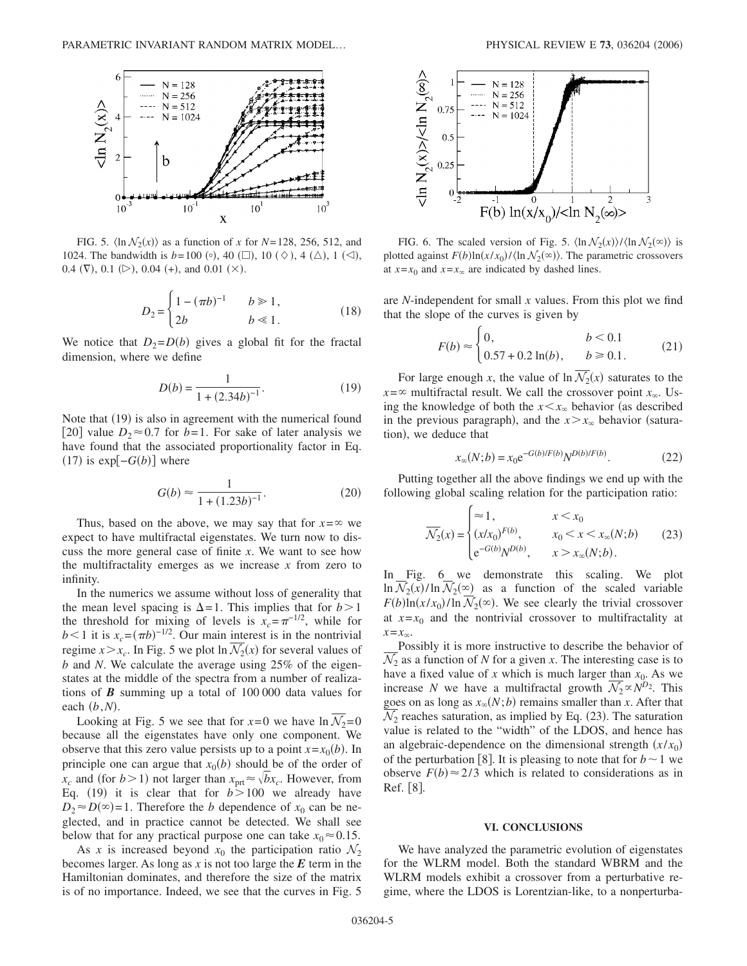

FIG. 5.  $\langle \ln \mathcal{N}_2(x) \rangle$  as a function of *x* for *N*=128, 256, 512, and 1024. The bandwidth is  $b = 100$  ( $\circ$ ), 40 ( $\Box$ ), 10 ( $\diamond$ ), 4 ( $\triangle$ ), 1 ( $\triangle$ ), 0.4  $(\nabla)$ , 0.1  $(\triangleright)$ , 0.04  $(+)$ , and 0.01  $(\times)$ .

$$
D_2 = \begin{cases} 1 - (\pi b)^{-1} & b \ge 1, \\ 2b & b \le 1. \end{cases}
$$
 (18)

We notice that  $D_2 = D(b)$  gives a global fit for the fractal dimension, where we define

$$
D(b) = \frac{1}{1 + (2.34b)^{-1}}.\tag{19}
$$

Note that (19) is also in agreement with the numerical found [20] value  $D_2 \approx 0.7$  for  $b=1$ . For sake of later analysis we have found that the associated proportionality factor in Eq.  $(17)$  is exp $[-G(b)]$  where

$$
G(b) \approx \frac{1}{1 + (1.23b)^{-1}}.\tag{20}
$$

Thus, based on the above, we may say that for  $x = \infty$  we expect to have multifractal eigenstates. We turn now to discuss the more general case of finite *x*. We want to see how the multifractality emerges as we increase *x* from zero to infinity.

In the numerics we assume without loss of generality that the mean level spacing is  $\Delta = 1$ . This implies that for  $b > 1$ the threshold for mixing of levels is  $x_c = \pi^{-1/2}$ , while for  $b < 1$  it is  $x_c = (\pi b)^{-1/2}$ . Our main interest is in the nontrivial regime  $x > x_c$ . In Fig. 5 we plot  $\ln \mathcal{N}_2(x)$  for several values of *b* and *N*. We calculate the average using 25% of the eigenstates at the middle of the spectra from a number of realizations of *B* summing up a total of 100 000 data values for each  $(b, N)$ .

Looking at Fig. 5 we see that for  $x=0$  we have  $\ln \mathcal{N}_2=0$ because all the eigenstates have only one component. We observe that this zero value persists up to a point  $x = x_0(b)$ . In principle one can argue that  $x_0(b)$  should be of the order of  $x_c$  and (for *b*>1) not larger than  $x_{\text{prt}} \approx \sqrt{b}x_c$ . However, from Eq. (19) it is clear that for  $b > 100$  we already have  $D_2 \approx D(\infty) = 1$ . Therefore the *b* dependence of  $x_0$  can be neglected, and in practice cannot be detected. We shall see below that for any practical purpose one can take  $x_0 \approx 0.15$ .

As *x* is increased beyond  $x_0$  the participation ratio  $\mathcal{N}_2$ becomes larger. As long as  $x$  is not too large the  $E$  term in the Hamiltonian dominates, and therefore the size of the matrix is of no importance. Indeed, we see that the curves in Fig. 5



FIG. 6. The scaled version of Fig. 5.  $\langle \ln \mathcal{N}_2(x) \rangle / \langle \ln \mathcal{N}_2(\infty) \rangle$  is plotted against  $F(b) \ln(x/x_0) / \langle \ln \mathcal{N}_2(\infty) \rangle$ . The parametric crossovers at  $x=x_0$  and  $x=x_\infty$  are indicated by dashed lines.

are *N*-independent for small *x* values. From this plot we find that the slope of the curves is given by

$$
F(b) \approx \begin{cases} 0, & b < 0.1 \\ 0.57 + 0.2 \ln(b), & b \ge 0.1. \end{cases}
$$
 (21)

For large enough *x*, the value of  $\ln \mathcal{N}_2(x)$  saturates to the  $x = \infty$  multifractal result. We call the crossover point  $x_{\infty}$ . Using the knowledge of both the  $x \leq x_{\infty}$  behavior (as described in the previous paragraph), and the  $x > x_{\infty}$  behavior (saturation), we deduce that

$$
x_{\infty}(N;b) = x_0 e^{-G(b)/F(b)} N^{D(b)/F(b)}.
$$
 (22)

Putting together all the above findings we end up with the following global scaling relation for the participation ratio:

$$
\overline{\mathcal{N}_2}(x) = \begin{cases}\n\approx 1, & x < x_0 \\
(x/x_0)^{F(b)}, & x_0 < x < x_\infty(N; b) \\
e^{-G(b)}N^{D(b)}, & x > x_\infty(N; b).\n\end{cases}
$$
(23)

In Fig. 6 we demonstrate this scaling. We plot  $\ln \frac{\mathcal{N}_2(x)}{n}$  as a function of the scaled variable  $F(b) \ln(x/x_0) / \ln \mathcal{N}_2(\infty)$ . We see clearly the trivial crossover at  $x=x_0$  and the nontrivial crossover to multifractality at  $x = x_{\infty}$ .

Possibly it is more instructive to describe the behavior of  $\mathcal{N}_2$  as a function of  $N$  for a given  $x$ . The interesting case is to have a fixed value of x which is much larger than  $x_0$ . As we increase *N* we have a multifractal growth  $\overline{N_2} \propto N^{D_2}$ . This goes on as long as  $x_\infty(N; b)$  remains smaller than *x*. After that  $\mathcal{N}_2$  reaches saturation, as implied by Eq. (23). The saturation value is related to the "width" of the LDOS, and hence has an algebraic-dependence on the dimensional strength  $(x/x_0)$ of the perturbation [8]. It is pleasing to note that for  $b \sim 1$  we observe  $F(b) \approx 2/3$  which is related to considerations as in Ref.  $|8|$ .

#### **VI. CONCLUSIONS**

We have analyzed the parametric evolution of eigenstates for the WLRM model. Both the standard WBRM and the WLRM models exhibit a crossover from a perturbative regime, where the LDOS is Lorentzian-like, to a nonperturba